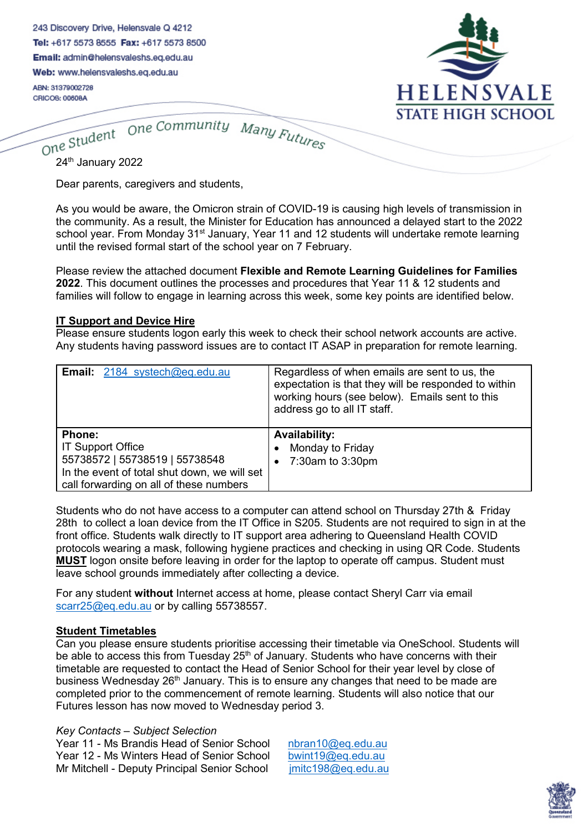| 243 Discovery Drive, Helensvale Q 4212  |
|-----------------------------------------|
| Tel: +617 5573 8555 Fax: +617 5573 8500 |
| Email: admin@helensvaleshs.eq.edu.au    |
|                                         |

Web: www.helensvaleshs.eq.edu.au

ABN: 31379002728 CRICOS: 00608A



One Community Many Futures One Student 24<sup>th</sup> January 2022

Dear parents, caregivers and students,

As you would be aware, the Omicron strain of COVID-19 is causing high levels of transmission in the community. As a result, the Minister for Education has announced a delayed start to the 2022 school year. From Monday 31<sup>st</sup> January, Year 11 and 12 students will undertake remote learning until the revised formal start of the school year on 7 February.

Please review the attached document **Flexible and Remote Learning Guidelines for Families 2022**. This document outlines the processes and procedures that Year 11 & 12 students and families will follow to engage in learning across this week, some key points are identified below.

#### **IT Support and Device Hire**

Please ensure students logon early this week to check their school network accounts are active. Any students having password issues are to contact IT ASAP in preparation for remote learning.

| <b>Email:</b> 2184 systech@eq.edu.au                                                                                                                                   | Regardless of when emails are sent to us, the<br>expectation is that they will be responded to within<br>working hours (see below). Emails sent to this<br>address go to all IT staff. |
|------------------------------------------------------------------------------------------------------------------------------------------------------------------------|----------------------------------------------------------------------------------------------------------------------------------------------------------------------------------------|
| <b>Phone:</b><br><b>IT Support Office</b><br>55738572   55738519   55738548<br>In the event of total shut down, we will set<br>call forwarding on all of these numbers | <b>Availability:</b><br>Monday to Friday<br>7:30am to 3:30pm<br>$\bullet$                                                                                                              |

Students who do not have access to a computer can attend school on Thursday 27th & Friday 28th to collect a loan device from the IT Office in S205. Students are not required to sign in at the front office. Students walk directly to IT support area adhering to Queensland Health COVID protocols wearing a mask, following hygiene practices and checking in using QR Code. Students **MUST** logon onsite before leaving in order for the laptop to operate off campus. Student must leave school grounds immediately after collecting a device.

For any student **without** Internet access at home, please contact Sheryl Carr via email [scarr25@eq.edu.au](mailto:scarr25@eq.edu.au) or by calling 55738557.

## **Student Timetables**

Can you please ensure students prioritise accessing their timetable via OneSchool. Students will be able to access this from Tuesday  $25<sup>th</sup>$  of January. Students who have concerns with their timetable are requested to contact the Head of Senior School for their year level by close of business Wednesday  $26<sup>th</sup>$  January. This is to ensure any changes that need to be made are completed prior to the commencement of remote learning. Students will also notice that our Futures lesson has now moved to Wednesday period 3.

## *Key Contacts – Subject Selection*

Year 11 - Ms Brandis Head of Senior School [nbran10@eq.edu.au](mailto:nbran10@eq.edu.au)<br>Year 12 - Ms Winters Head of Senior School bwint19@eq.edu.au Year 12 - Ms Winters Head of Senior School [bwint19@eq.edu.au](mailto:bwint19@eq.edu.au)<br>Mr Mitchell - Deputy Principal Senior School imitc198@eq.edu.au Mr Mitchell - Deputy Principal Senior School